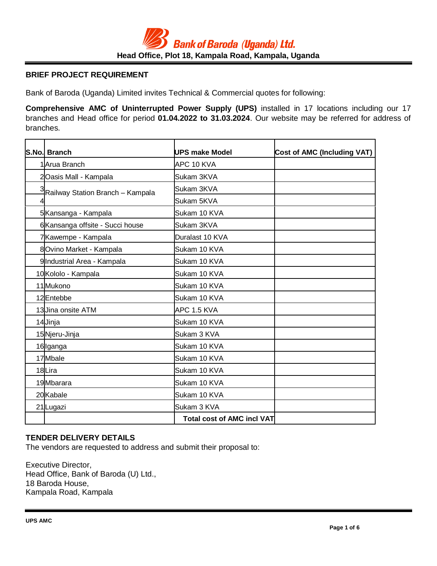# **BRIEF PROJECT REQUIREMENT**

Bank of Baroda (Uganda) Limited invites Technical & Commercial quotes for following:

**Comprehensive AMC of Uninterrupted Power Supply (UPS)** installed in 17 locations including our 17 branches and Head office for period **01.04.2022 to 31.03.2024**. Our website may be referred for address of branches.

|        | S.No. Branch                       | <b>IUPS make Model</b>            | <b>Cost of AMC (Including VAT)</b> |
|--------|------------------------------------|-----------------------------------|------------------------------------|
|        | 1Arua Branch                       | APC 10 KVA                        |                                    |
|        | 2Oasis Mall - Kampala              | Sukam 3KVA                        |                                    |
|        | 3 Railway Station Branch – Kampala | Sukam 3KVA                        |                                    |
|        |                                    | Sukam 5KVA                        |                                    |
|        | 5 Kansanga - Kampala               | Sukam 10 KVA                      |                                    |
|        | 6 Kansanga offsite - Succi house   | Sukam 3KVA                        |                                    |
|        | 7Kawempe - Kampala                 | Duralast 10 KVA                   |                                    |
|        | 8Ovino Market - Kampala            | Sukam 10 KVA                      |                                    |
|        | 9 Industrial Area - Kampala        | Sukam 10 KVA                      |                                    |
|        | 10 Kololo - Kampala                | Sukam 10 KVA                      |                                    |
|        | 11 Mukono                          | Sukam 10 KVA                      |                                    |
|        | 12Entebbe                          | Sukam 10 KVA                      |                                    |
|        | 13 Jina onsite ATM                 | APC 1.5 KVA                       |                                    |
|        | 14 Jinja                           | Sukam 10 KVA                      |                                    |
|        | 15 Njeru-Jinja                     | Sukam 3 KVA                       |                                    |
|        | 16 Iganga                          | Sukam 10 KVA                      |                                    |
|        | 17 Mbale                           | Sukam 10 KVA                      |                                    |
| 18Lira |                                    | Sukam 10 KVA                      |                                    |
|        | 19 Mbarara                         | Sukam 10 KVA                      |                                    |
|        | 20 Kabale                          | Sukam 10 KVA                      |                                    |
|        | 21Lugazi                           | Sukam 3 KVA                       |                                    |
|        |                                    | <b>Total cost of AMC incl VAT</b> |                                    |

## **TENDER DELIVERY DETAILS**

The vendors are requested to address and submit their proposal to:

Executive Director, Head Office, Bank of Baroda (U) Ltd., 18 Baroda House, Kampala Road, Kampala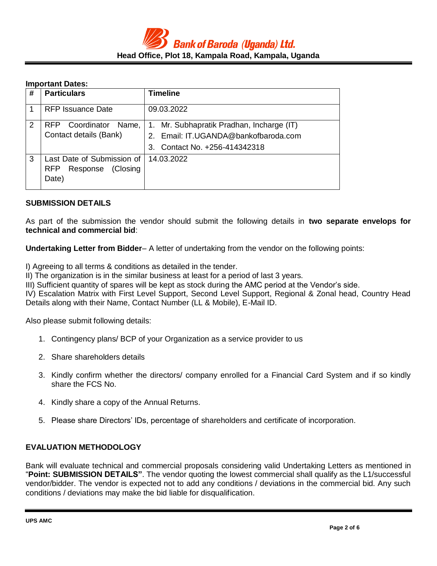### **Important Dates:**

| # | <b>Particulars</b>                                                     | <b>Timeline</b>                                                                                                                      |
|---|------------------------------------------------------------------------|--------------------------------------------------------------------------------------------------------------------------------------|
|   | RFP Issuance Date                                                      | 09.03.2022                                                                                                                           |
| 2 | Coordinator<br><b>RFP</b><br>Name,<br>Contact details (Bank)           | 1. Mr. Subhapratik Pradhan, Incharge (IT)<br>Email: IT.UGANDA@bankofbaroda.com<br>2 <sup>1</sup><br>Contact No. +256-414342318<br>3. |
| 3 | Last Date of Submission of<br>Response (Closing<br><b>RFP</b><br>Date) | 14.03.2022                                                                                                                           |

#### **SUBMISSION DETAILS**

As part of the submission the vendor should submit the following details in **two separate envelops for technical and commercial bid**:

**Undertaking Letter from Bidder**– A letter of undertaking from the vendor on the following points:

I) Agreeing to all terms & conditions as detailed in the tender.

II) The organization is in the similar business at least for a period of last 3 years.

III) Sufficient quantity of spares will be kept as stock during the AMC period at the Vendor's side.

IV) Escalation Matrix with First Level Support, Second Level Support, Regional & Zonal head, Country Head Details along with their Name, Contact Number (LL & Mobile), E-Mail ID.

Also please submit following details:

- 1. Contingency plans/ BCP of your Organization as a service provider to us
- 2. Share shareholders details
- 3. Kindly confirm whether the directors/ company enrolled for a Financial Card System and if so kindly share the FCS No.
- 4. Kindly share a copy of the Annual Returns.
- 5. Please share Directors' IDs, percentage of shareholders and certificate of incorporation.

## **EVALUATION METHODOLOGY**

Bank will evaluate technical and commercial proposals considering valid Undertaking Letters as mentioned in "**Point: SUBMISSION DETAILS"**. The vendor quoting the lowest commercial shall qualify as the L1/successful vendor/bidder. The vendor is expected not to add any conditions / deviations in the commercial bid. Any such conditions / deviations may make the bid liable for disqualification.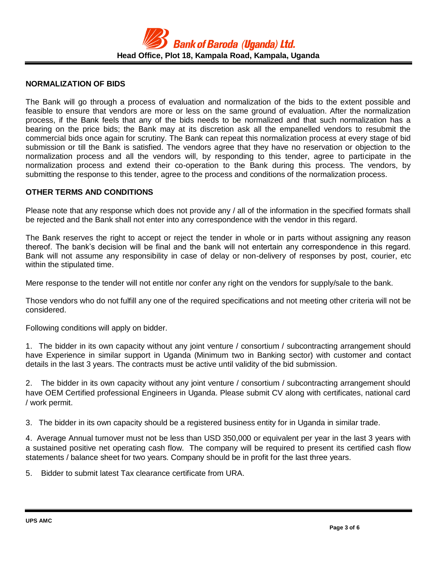### **NORMALIZATION OF BIDS**

The Bank will go through a process of evaluation and normalization of the bids to the extent possible and feasible to ensure that vendors are more or less on the same ground of evaluation. After the normalization process, if the Bank feels that any of the bids needs to be normalized and that such normalization has a bearing on the price bids; the Bank may at its discretion ask all the empanelled vendors to resubmit the commercial bids once again for scrutiny. The Bank can repeat this normalization process at every stage of bid submission or till the Bank is satisfied. The vendors agree that they have no reservation or objection to the normalization process and all the vendors will, by responding to this tender, agree to participate in the normalization process and extend their co-operation to the Bank during this process. The vendors, by submitting the response to this tender, agree to the process and conditions of the normalization process.

### **OTHER TERMS AND CONDITIONS**

Please note that any response which does not provide any / all of the information in the specified formats shall be rejected and the Bank shall not enter into any correspondence with the vendor in this regard.

The Bank reserves the right to accept or reject the tender in whole or in parts without assigning any reason thereof. The bank's decision will be final and the bank will not entertain any correspondence in this regard. Bank will not assume any responsibility in case of delay or non-delivery of responses by post, courier, etc within the stipulated time.

Mere response to the tender will not entitle nor confer any right on the vendors for supply/sale to the bank.

Those vendors who do not fulfill any one of the required specifications and not meeting other criteria will not be considered.

Following conditions will apply on bidder.

1. The bidder in its own capacity without any joint venture / consortium / subcontracting arrangement should have Experience in similar support in Uganda (Minimum two in Banking sector) with customer and contact details in the last 3 years. The contracts must be active until validity of the bid submission.

2. The bidder in its own capacity without any joint venture / consortium / subcontracting arrangement should have OEM Certified professional Engineers in Uganda. Please submit CV along with certificates, national card / work permit.

3. The bidder in its own capacity should be a registered business entity for in Uganda in similar trade.

4. Average Annual turnover must not be less than USD 350,000 or equivalent per year in the last 3 years with a sustained positive net operating cash flow. The company will be required to present its certified cash flow statements / balance sheet for two years. Company should be in profit for the last three years.

5. Bidder to submit latest Tax clearance certificate from URA.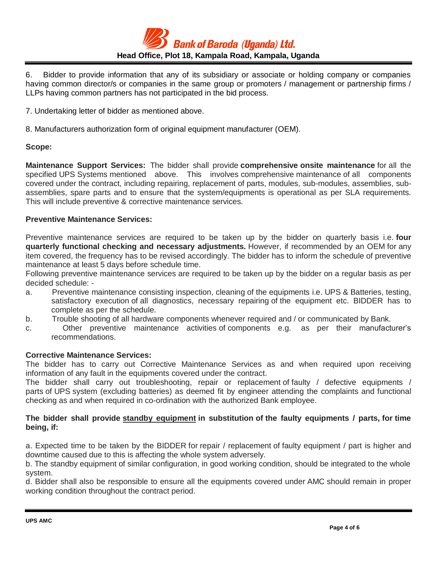

6. Bidder to provide information that any of its subsidiary or associate or holding company or companies having common director/s or companies in the same group or promoters / management or partnership firms / LLPs having common partners has not participated in the bid process.

7. Undertaking letter of bidder as mentioned above.

8. Manufacturers authorization form of original equipment manufacturer (OEM).

### **Scope:**

**Maintenance Support Services:** The bidder shall provide **comprehensive onsite maintenance** for all the specified UPS Systems mentioned above. This involves comprehensive maintenance of all components covered under the contract, including repairing, replacement of parts, modules, sub-modules, assemblies, subassemblies, spare parts and to ensure that the system/equipments is operational as per SLA requirements. This will include preventive & corrective maintenance services.

### **Preventive Maintenance Services:**

Preventive maintenance services are required to be taken up by the bidder on quarterly basis i.e. **four quarterly functional checking and necessary adjustments.** However, if recommended by an OEM for any item covered, the frequency has to be revised accordingly. The bidder has to inform the schedule of preventive maintenance at least 5 days before schedule time.

Following preventive maintenance services are required to be taken up by the bidder on a regular basis as per decided schedule: -

- a. Preventive maintenance consisting inspection, cleaning of the equipments i.e. UPS & Batteries, testing, satisfactory execution of all diagnostics, necessary repairing of the equipment etc. BIDDER has to complete as per the schedule.
- b. Trouble shooting of all hardware components whenever required and / or communicated by Bank.
- c. Other preventive maintenance activities of components e.g. as per their manufacturer's recommendations.

## **Corrective Maintenance Services:**

The bidder has to carry out Corrective Maintenance Services as and when required upon receiving information of any fault in the equipments covered under the contract.

The bidder shall carry out troubleshooting, repair or replacement of faulty / defective equipments / parts of UPS system (excluding batteries) as deemed fit by engineer attending the complaints and functional checking as and when required in co-ordination with the authorized Bank employee.

### **The bidder shall provide standby equipment in substitution of the faulty equipments / parts, for time being, if:**

a. Expected time to be taken by the BIDDER for repair / replacement of faulty equipment / part is higher and downtime caused due to this is affecting the whole system adversely.

b. The standby equipment of similar configuration, in good working condition, should be integrated to the whole system.

d. Bidder shall also be responsible to ensure all the equipments covered under AMC should remain in proper working condition throughout the contract period.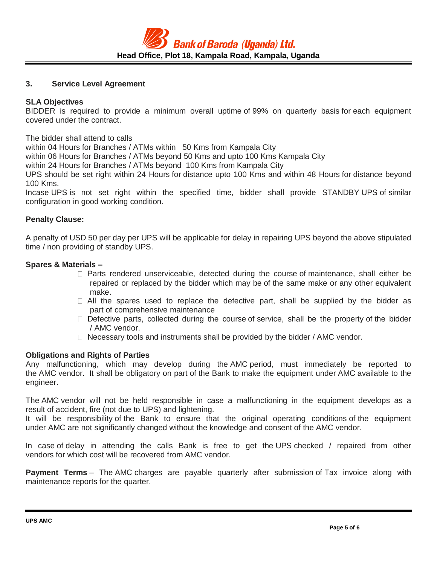### **3. Service Level Agreement**

### **SLA Objectives**

BIDDER is required to provide a minimum overall uptime of 99% on quarterly basis for each equipment covered under the contract.

The bidder shall attend to calls

within 04 Hours for Branches / ATMs within 50 Kms from Kampala City

within 06 Hours for Branches / ATMs beyond 50 Kms and upto 100 Kms Kampala City

within 24 Hours for Branches / ATMs beyond 100 Kms from Kampala City

UPS should be set right within 24 Hours for distance upto 100 Kms and within 48 Hours for distance beyond 100 Kms.

Incase UPS is not set right within the specified time, bidder shall provide STANDBY UPS of similar configuration in good working condition.

### **Penalty Clause:**

A penalty of USD 50 per day per UPS will be applicable for delay in repairing UPS beyond the above stipulated time / non providing of standby UPS.

### **Spares & Materials –**

- $\Box$  Parts rendered unserviceable, detected during the course of maintenance, shall either be repaired or replaced by the bidder which may be of the same make or any other equivalent make.
- $\Box$  All the spares used to replace the defective part, shall be supplied by the bidder as part of comprehensive maintenance
- $\Box$  Defective parts, collected during the course of service, shall be the property of the bidder / AMC vendor.
- $\Box$  Necessary tools and instruments shall be provided by the bidder / AMC vendor.

#### **Obligations and Rights of Parties**

Any malfunctioning, which may develop during the AMC period, must immediately be reported to the AMC vendor. It shall be obligatory on part of the Bank to make the equipment under AMC available to the engineer.

The AMC vendor will not be held responsible in case a malfunctioning in the equipment develops as a result of accident, fire (not due to UPS) and lightening.

It will be responsibility of the Bank to ensure that the original operating conditions of the equipment under AMC are not significantly changed without the knowledge and consent of the AMC vendor.

In case of delay in attending the calls Bank is free to get the UPS checked / repaired from other vendors for which cost will be recovered from AMC vendor.

**Payment Terms** – The AMC charges are payable quarterly after submission of Tax invoice along with maintenance reports for the quarter.